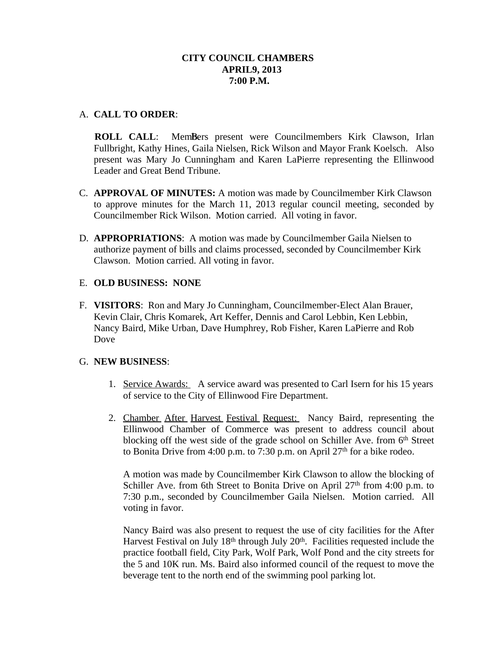# **CITY COUNCIL CHAMBERS APRIL9, 2013 7:00 P.M.**

# A. **CALL TO ORDER**:

**ROLL CALL:** MemBers present were Councilmembers Kirk Clawson, Irlan Fullbright, Kathy Hines, Gaila Nielsen, Rick Wilson and Mayor Frank Koelsch. Also present was Mary Jo Cunningham and Karen LaPierre representing the Ellinwood Leader and Great Bend Tribune.

- C. **APPROVAL OF MINUTES:** A motion was made by Councilmember Kirk Clawson to approve minutes for the March 11, 2013 regular council meeting, seconded by Councilmember Rick Wilson. Motion carried. All voting in favor.
- D. **APPROPRIATIONS**: A motion was made by Councilmember Gaila Nielsen to authorize payment of bills and claims processed, seconded by Councilmember Kirk Clawson. Motion carried. All voting in favor.

# E. **OLD BUSINESS: NONE**

F. **VISITORS**: Ron and Mary Jo Cunningham, Councilmember-Elect Alan Brauer, Kevin Clair, Chris Komarek, Art Keffer, Dennis and Carol Lebbin, Ken Lebbin, Nancy Baird, Mike Urban, Dave Humphrey, Rob Fisher, Karen LaPierre and Rob Dove

# G. **NEW BUSINESS**:

- 1. Service Awards: A service award was presented to Carl Isern for his 15 years of service to the City of Ellinwood Fire Department.
- 2. Chamber After Harvest Festival Request: Nancy Baird, representing the Ellinwood Chamber of Commerce was present to address council about blocking off the west side of the grade school on Schiller Ave. from 6th Street to Bonita Drive from 4:00 p.m. to 7:30 p.m. on April  $27<sup>th</sup>$  for a bike rodeo.

A motion was made by Councilmember Kirk Clawson to allow the blocking of Schiller Ave. from 6th Street to Bonita Drive on April  $27<sup>th</sup>$  from 4:00 p.m. to 7:30 p.m., seconded by Councilmember Gaila Nielsen. Motion carried. All voting in favor.

Nancy Baird was also present to request the use of city facilities for the After Harvest Festival on July 18<sup>th</sup> through July 20<sup>th</sup>. Facilities requested include the practice football field, City Park, Wolf Park, Wolf Pond and the city streets for the 5 and 10K run. Ms. Baird also informed council of the request to move the beverage tent to the north end of the swimming pool parking lot.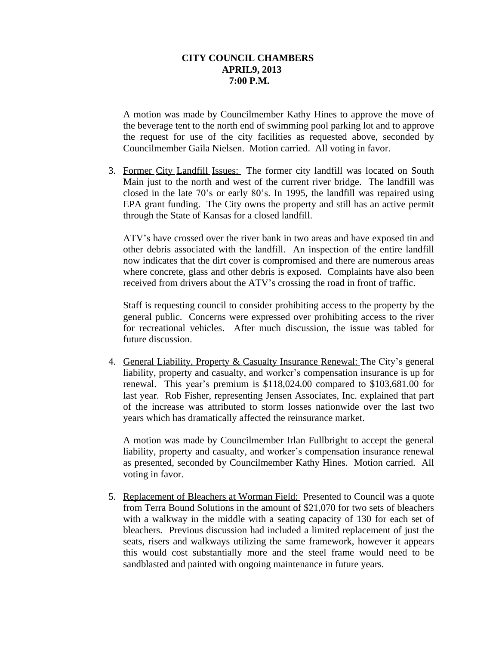## **CITY COUNCIL CHAMBERS APRIL9, 2013 7:00 P.M.**

A motion was made by Councilmember Kathy Hines to approve the move of the beverage tent to the north end of swimming pool parking lot and to approve the request for use of the city facilities as requested above, seconded by Councilmember Gaila Nielsen. Motion carried. All voting in favor.

3. Former City Landfill Issues: The former city landfill was located on South Main just to the north and west of the current river bridge. The landfill was closed in the late 70's or early 80's. In 1995, the landfill was repaired using EPA grant funding. The City owns the property and still has an active permit through the State of Kansas for a closed landfill.

ATV's have crossed over the river bank in two areas and have exposed tin and other debris associated with the landfill. An inspection of the entire landfill now indicates that the dirt cover is compromised and there are numerous areas where concrete, glass and other debris is exposed. Complaints have also been received from drivers about the ATV's crossing the road in front of traffic.

Staff is requesting council to consider prohibiting access to the property by the general public. Concerns were expressed over prohibiting access to the river for recreational vehicles. After much discussion, the issue was tabled for future discussion.

4. General Liability, Property & Casualty Insurance Renewal: The City's general liability, property and casualty, and worker's compensation insurance is up for renewal. This year's premium is \$118,024.00 compared to \$103,681.00 for last year. Rob Fisher, representing Jensen Associates, Inc. explained that part of the increase was attributed to storm losses nationwide over the last two years which has dramatically affected the reinsurance market.

A motion was made by Councilmember Irlan Fullbright to accept the general liability, property and casualty, and worker's compensation insurance renewal as presented, seconded by Councilmember Kathy Hines. Motion carried. All voting in favor.

5. Replacement of Bleachers at Worman Field: Presented to Council was a quote from Terra Bound Solutions in the amount of \$21,070 for two sets of bleachers with a walkway in the middle with a seating capacity of 130 for each set of bleachers. Previous discussion had included a limited replacement of just the seats, risers and walkways utilizing the same framework, however it appears this would cost substantially more and the steel frame would need to be sandblasted and painted with ongoing maintenance in future years.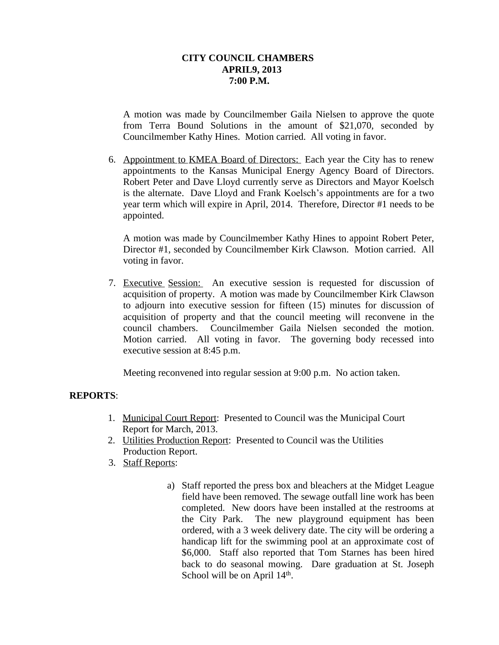## **CITY COUNCIL CHAMBERS APRIL9, 2013 7:00 P.M.**

A motion was made by Councilmember Gaila Nielsen to approve the quote from Terra Bound Solutions in the amount of \$21,070, seconded by Councilmember Kathy Hines. Motion carried. All voting in favor.

6. Appointment to KMEA Board of Directors: Each year the City has to renew appointments to the Kansas Municipal Energy Agency Board of Directors. Robert Peter and Dave Lloyd currently serve as Directors and Mayor Koelsch is the alternate. Dave Lloyd and Frank Koelsch's appointments are for a two year term which will expire in April, 2014. Therefore, Director #1 needs to be appointed.

A motion was made by Councilmember Kathy Hines to appoint Robert Peter, Director #1, seconded by Councilmember Kirk Clawson. Motion carried. All voting in favor.

7. Executive Session: An executive session is requested for discussion of acquisition of property. A motion was made by Councilmember Kirk Clawson to adjourn into executive session for fifteen (15) minutes for discussion of acquisition of property and that the council meeting will reconvene in the council chambers. Councilmember Gaila Nielsen seconded the motion. Motion carried. All voting in favor. The governing body recessed into executive session at 8:45 p.m.

Meeting reconvened into regular session at 9:00 p.m. No action taken.

## **REPORTS**:

- 1. Municipal Court Report: Presented to Council was the Municipal Court Report for March, 2013.
- 2. Utilities Production Report: Presented to Council was the Utilities Production Report.
- 3. Staff Reports:
	- a) Staff reported the press box and bleachers at the Midget League field have been removed. The sewage outfall line work has been completed. New doors have been installed at the restrooms at the City Park. The new playground equipment has been ordered, with a 3 week delivery date. The city will be ordering a handicap lift for the swimming pool at an approximate cost of \$6,000. Staff also reported that Tom Starnes has been hired back to do seasonal mowing. Dare graduation at St. Joseph School will be on April 14<sup>th</sup>.